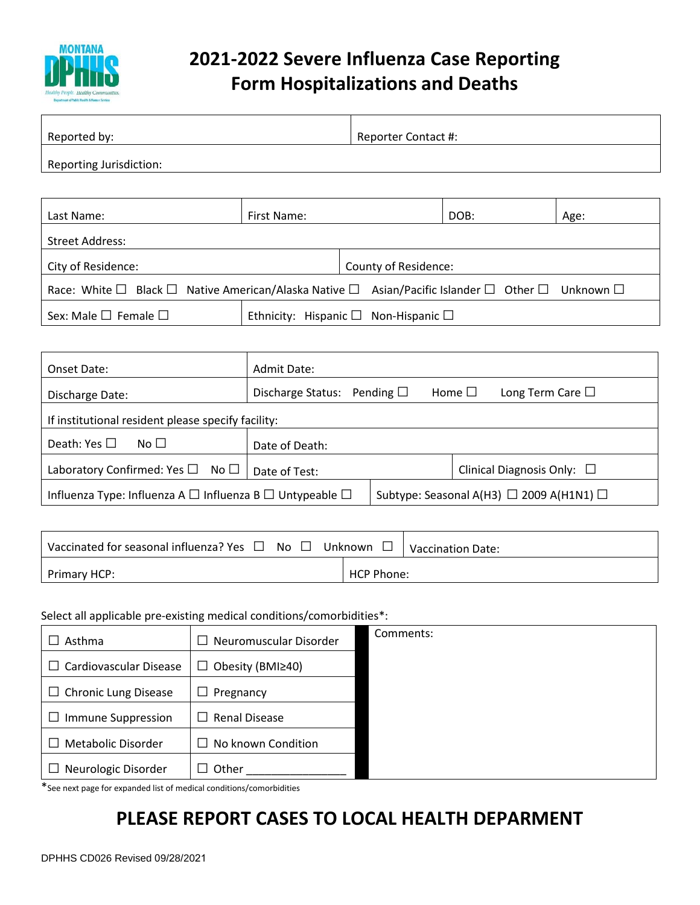

# **2021-2022 Severe Influenza Case Reporting Form Hospitalizations and Deaths**

| Reported by:            | Reporter Contact #: |
|-------------------------|---------------------|
| Reporting Jurisdiction: |                     |

| Last Name:                                                                                                                     | First Name: |                                                      | DOB: | Age: |  |
|--------------------------------------------------------------------------------------------------------------------------------|-------------|------------------------------------------------------|------|------|--|
| <b>Street Address:</b>                                                                                                         |             |                                                      |      |      |  |
| City of Residence:                                                                                                             |             | County of Residence:                                 |      |      |  |
| Race: White $\Box$ Black $\Box$ Native American/Alaska Native $\Box$ Asian/Pacific Islander $\Box$ Other $\Box$ Unknown $\Box$ |             |                                                      |      |      |  |
| Sex: Male $\square$ Female $\square$                                                                                           |             | Ethnicity: Hispanic $\square$ Non-Hispanic $\square$ |      |      |  |

| Onset Date:                                                             | Admit Date:                         |  |                                                    |             |                          |
|-------------------------------------------------------------------------|-------------------------------------|--|----------------------------------------------------|-------------|--------------------------|
| Discharge Date:                                                         | Discharge Status: Pending $\square$ |  |                                                    | Home $\Box$ | Long Term Care $\square$ |
| If institutional resident please specify facility:                      |                                     |  |                                                    |             |                          |
| Death: Yes $\square$<br>No II                                           | Date of Death:                      |  |                                                    |             |                          |
| Laboratory Confirmed: Yes $\square$ No $\square$                        | Date of Test:                       |  | Clinical Diagnosis Only: $\Box$                    |             |                          |
| Influenza Type: Influenza A $\Box$ Influenza B $\Box$ Untypeable $\Box$ |                                     |  | Subtype: Seasonal A(H3) $\Box$ 2009 A(H1N1) $\Box$ |             |                          |

| Vaccinated for seasonal influenza? Yes $\Box$ No $\Box$ | Unknown $\Box$    | <b>Vaccination Date:</b> |
|---------------------------------------------------------|-------------------|--------------------------|
| Primary HCP:                                            | <b>HCP Phone:</b> |                          |

### Select all applicable pre-existing medical conditions/comorbidities\*:

| Asthma                      | Neuromuscular Disorder | Comments: |
|-----------------------------|------------------------|-----------|
| Cardiovascular Disease      | Obesity (BMI≥40)<br>ப  |           |
| $\Box$ Chronic Lung Disease | Pregnancy              |           |
| <b>Immune Suppression</b>   | <b>Renal Disease</b>   |           |
| Metabolic Disorder          | No known Condition     |           |
| Neurologic Disorder         | Other                  |           |

\*See next page for expanded list of medical conditions/comorbidities

# **PLEASE REPORT CASES TO LOCAL HEALTH DEPARMENT**